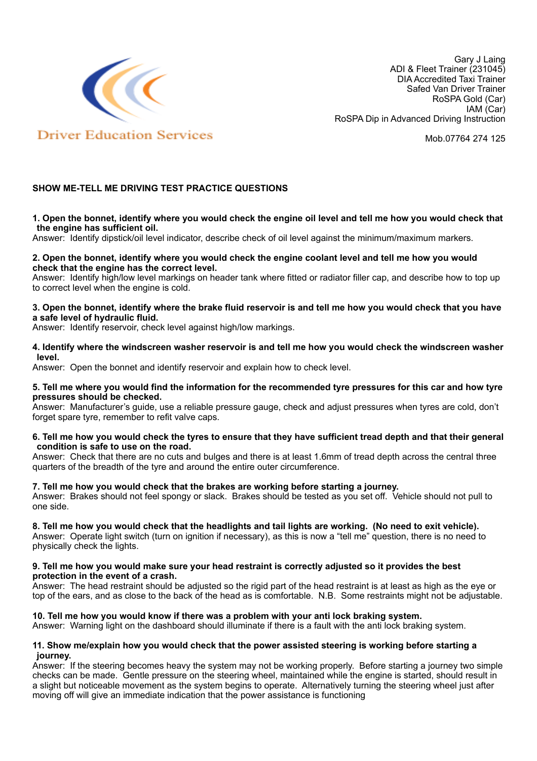

Gary J Laing ADI & Fleet Trainer (231045) DIA Accredited Taxi Trainer Safed Van Driver Trainer RoSPA Gold (Car) IAM (Car) RoSPA Dip in Advanced Driving Instruction

Mob.07764 274 125

# **SHOW ME-TELL ME DRIVING TEST PRACTICE QUESTIONS**

### **1. Open the bonnet, identify where you would check the engine oil level and tell me how you would check that the engine has sufficient oil.**

Answer: Identify dipstick/oil level indicator, describe check of oil level against the minimum/maximum markers.

## **2. Open the bonnet, identify where you would check the engine coolant level and tell me how you would check that the engine has the correct level.**

Answer: Identify high/low level markings on header tank where fitted or radiator filler cap, and describe how to top up to correct level when the engine is cold.

## **3. Open the bonnet, identify where the brake fluid reservoir is and tell me how you would check that you have a safe level of hydraulic fluid.**

Answer: Identify reservoir, check level against high/low markings.

## **4. Identify where the windscreen washer reservoir is and tell me how you would check the windscreen washer level.**

Answer: Open the bonnet and identify reservoir and explain how to check level.

### **5. Tell me where you would find the information for the recommended tyre pressures for this car and how tyre pressures should be checked.**

Answer: Manufacturer's guide, use a reliable pressure gauge, check and adjust pressures when tyres are cold, don't forget spare tyre, remember to refit valve caps.

### **6. Tell me how you would check the tyres to ensure that they have sufficient tread depth and that their general condition is safe to use on the road.**

Answer: Check that there are no cuts and bulges and there is at least 1.6mm of tread depth across the central three quarters of the breadth of the tyre and around the entire outer circumference.

### **7. Tell me how you would check that the brakes are working before starting a journey.**

Answer: Brakes should not feel spongy or slack. Brakes should be tested as you set off. Vehicle should not pull to one side.

### **8. Tell me how you would check that the headlights and tail lights are working. (No need to exit vehicle).**

Answer: Operate light switch (turn on ignition if necessary), as this is now a "tell me" question, there is no need to physically check the lights.

### **9. Tell me how you would make sure your head restraint is correctly adjusted so it provides the best protection in the event of a crash.**

Answer: The head restraint should be adjusted so the rigid part of the head restraint is at least as high as the eye or top of the ears, and as close to the back of the head as is comfortable. N.B. Some restraints might not be adjustable.

## **10. Tell me how you would know if there was a problem with your anti lock braking system.**

Answer: Warning light on the dashboard should illuminate if there is a fault with the anti lock braking system.

### **11. Show me/explain how you would check that the power assisted steering is working before starting a journey.**

Answer: If the steering becomes heavy the system may not be working properly. Before starting a journey two simple checks can be made. Gentle pressure on the steering wheel, maintained while the engine is started, should result in a slight but noticeable movement as the system begins to operate. Alternatively turning the steering wheel just after moving off will give an immediate indication that the power assistance is functioning